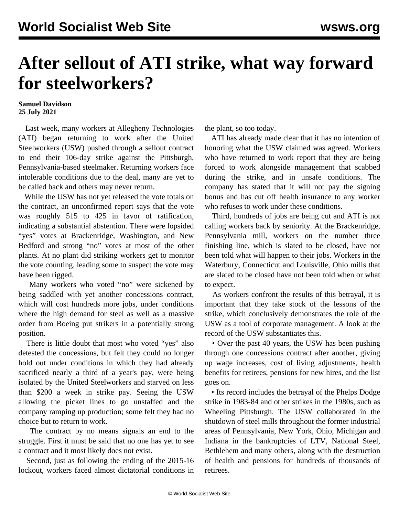## **After sellout of ATI strike, what way forward for steelworkers?**

## **Samuel Davidson 25 July 2021**

 Last week, many workers at Allegheny Technologies (ATI) began returning to work after the United Steelworkers (USW) pushed through a sellout contract to end their 106-day strike against the Pittsburgh, Pennsylvania-based steelmaker. Returning workers face intolerable conditions due to the deal, many are yet to be called back and others may never return.

 While the USW has not yet released the vote totals on the contract, an unconfirmed report says that the vote was roughly 515 to 425 in favor of ratification, indicating a substantial abstention. There were lopsided "yes" votes at Brackenridge, Washington, and New Bedford and strong "no" votes at most of the other plants. At no plant did striking workers get to monitor the vote counting, leading some to suspect the vote may have been rigged.

 Many workers who voted "no" were sickened by being saddled with yet another concessions contract, which will cost hundreds more jobs, under conditions where the high demand for steel as well as a massive order from Boeing put strikers in a potentially strong position.

 There is little doubt that most who voted "yes" also detested the concessions, but felt they could no longer hold out under conditions in which they had already sacrificed nearly a third of a year's pay, were being isolated by the United Steelworkers and starved on less than \$200 a week in strike pay. Seeing the USW allowing the picket lines to go unstaffed and the company ramping up production; some felt they had no choice but to return to work.

 The contract by no means signals an end to the struggle. First it must be said that no one has yet to see a contract and it most likely does not exist.

 Second, just as following the ending of the 2015-16 lockout, workers faced almost dictatorial conditions in the plant, so too today.

 ATI has already made clear that it has no intention of honoring what the USW claimed was agreed. Workers who have returned to work report that they are being forced to work alongside management that scabbed during the strike, and in unsafe conditions. The company has stated that it will not pay the signing bonus and has cut off health insurance to any worker who refuses to work under these conditions.

 Third, hundreds of jobs are being cut and ATI is not calling workers back by seniority. At the Brackenridge, Pennsylvania mill, workers on the number three finishing line, which is slated to be closed, have not been told what will happen to their jobs. Workers in the Waterbury, Connecticut and Louisville, Ohio mills that are slated to be closed have not been told when or what to expect.

 As workers confront the results of this betrayal, it is important that they take stock of the lessons of the strike, which conclusively demonstrates the role of the USW as a tool of corporate management. A look at the record of the USW substantiates this.

 • Over the past 40 years, the USW has been pushing through one concessions contract after another, giving up wage increases, cost of living adjustments, health benefits for retirees, pensions for new hires, and the list goes on.

 • Its record includes the betrayal of the Phelps Dodge strike in 1983-84 and other strikes in the 1980s, such as Wheeling Pittsburgh. The USW collaborated in the shutdown of steel mills throughout the former industrial areas of Pennsylvania, New York, Ohio, Michigan and Indiana in the bankruptcies of LTV, National Steel, Bethlehem and many others, along with the destruction of health and pensions for hundreds of thousands of retirees.